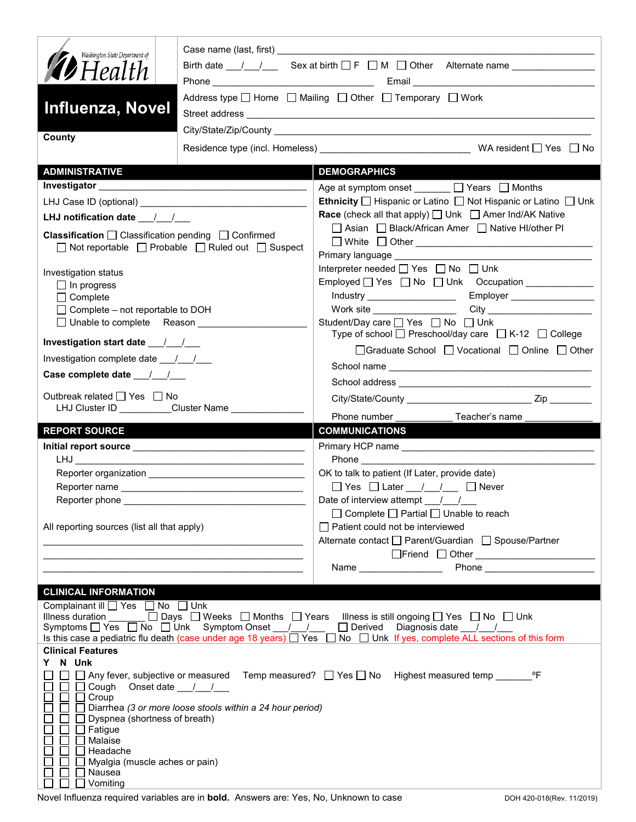| Washington State Department of                                             | Birth date $\frac{1}{\sqrt{2}}$ Sex at birth $\Box$ F $\Box$ M $\Box$ Other Alternate name |                                                                                                                               |  |  |  |  |  |  |
|----------------------------------------------------------------------------|--------------------------------------------------------------------------------------------|-------------------------------------------------------------------------------------------------------------------------------|--|--|--|--|--|--|
| <b>12</b> Health                                                           |                                                                                            |                                                                                                                               |  |  |  |  |  |  |
|                                                                            |                                                                                            | Address type $\Box$ Home $\Box$ Mailing $\Box$ Other $\Box$ Temporary $\Box$ Work                                             |  |  |  |  |  |  |
| <b>Influenza, Novel</b>                                                    |                                                                                            |                                                                                                                               |  |  |  |  |  |  |
|                                                                            |                                                                                            |                                                                                                                               |  |  |  |  |  |  |
| County                                                                     |                                                                                            |                                                                                                                               |  |  |  |  |  |  |
| <b>ADMINISTRATIVE</b>                                                      |                                                                                            | <b>DEMOGRAPHICS</b>                                                                                                           |  |  |  |  |  |  |
|                                                                            |                                                                                            | Age at symptom onset _______ □ Years □ Months                                                                                 |  |  |  |  |  |  |
|                                                                            |                                                                                            | Ethnicity □ Hispanic or Latino □ Not Hispanic or Latino □ Unk                                                                 |  |  |  |  |  |  |
| LHJ notification date ___/__/___                                           |                                                                                            | <b>Race</b> (check all that apply) <u>□</u> Unk □ Amer Ind/AK Native                                                          |  |  |  |  |  |  |
| <b>Classification</b> $\Box$ Classification pending $\Box$ Confirmed       |                                                                                            | □ Asian □ Black/African Amer □ Native HI/other PI                                                                             |  |  |  |  |  |  |
|                                                                            | $\Box$ Not reportable $\Box$ Probable $\Box$ Ruled out $\Box$ Suspect                      |                                                                                                                               |  |  |  |  |  |  |
|                                                                            |                                                                                            | Primary language ____________<br>Interpreter needed □ Yes □ No □ Unk                                                          |  |  |  |  |  |  |
| Investigation status                                                       |                                                                                            | Employed $\Box$ Yes $\Box$ No $\Box$ Unk Occupation                                                                           |  |  |  |  |  |  |
| $\Box$ In progress<br>$\Box$ Complete                                      |                                                                                            | Industry _____________________<br>Employer __________________                                                                 |  |  |  |  |  |  |
| $\Box$ Complete – not reportable to DOH                                    |                                                                                            |                                                                                                                               |  |  |  |  |  |  |
| □ Unable to complete Reason                                                |                                                                                            | Student/Day care □ Yes □ No □ Unk                                                                                             |  |  |  |  |  |  |
|                                                                            |                                                                                            | Type of school $\Box$ Preschool/day care $\Box$ K-12 $\Box$ College                                                           |  |  |  |  |  |  |
| Investigation complete date ___/___/___                                    |                                                                                            | □ Graduate School □ Vocational □ Online □ Other                                                                               |  |  |  |  |  |  |
|                                                                            |                                                                                            |                                                                                                                               |  |  |  |  |  |  |
| Outbreak related □ Yes □ No                                                |                                                                                            |                                                                                                                               |  |  |  |  |  |  |
|                                                                            | LHJ Cluster ID _________Cluster Name ______________                                        |                                                                                                                               |  |  |  |  |  |  |
| <b>REPORT SOURCE</b>                                                       |                                                                                            | Phone number<br>Teacher's name<br><b>COMMUNICATIONS</b>                                                                       |  |  |  |  |  |  |
|                                                                            |                                                                                            |                                                                                                                               |  |  |  |  |  |  |
|                                                                            |                                                                                            |                                                                                                                               |  |  |  |  |  |  |
|                                                                            |                                                                                            | OK to talk to patient (If Later, provide date)                                                                                |  |  |  |  |  |  |
|                                                                            |                                                                                            | □ Yes □ Later / / □ Never                                                                                                     |  |  |  |  |  |  |
| Reporter phone                                                             |                                                                                            | Date of interview attempt / /                                                                                                 |  |  |  |  |  |  |
|                                                                            |                                                                                            |                                                                                                                               |  |  |  |  |  |  |
|                                                                            |                                                                                            | $\Box$ Complete $\Box$ Partial $\Box$ Unable to reach                                                                         |  |  |  |  |  |  |
| All reporting sources (list all that apply)                                |                                                                                            | $\Box$ Patient could not be interviewed                                                                                       |  |  |  |  |  |  |
|                                                                            |                                                                                            | Alternate contact □ Parent/Guardian □ Spouse/Partner                                                                          |  |  |  |  |  |  |
|                                                                            |                                                                                            | □Friend □ Other <u>______________________</u>                                                                                 |  |  |  |  |  |  |
|                                                                            |                                                                                            | Name __________________                                                                                                       |  |  |  |  |  |  |
|                                                                            |                                                                                            |                                                                                                                               |  |  |  |  |  |  |
| <b>CLINICAL INFORMATION</b><br>Complainant ill <u>on</u> Yes and No on Unk |                                                                                            |                                                                                                                               |  |  |  |  |  |  |
|                                                                            |                                                                                            | Illness duration $\Box$ Days $\Box$ Weeks $\Box$ Months $\Box$ Years Illness is still ongoing $\Box$ Yes $\Box$ No $\Box$ Unk |  |  |  |  |  |  |
|                                                                            |                                                                                            | Symptoms $\Box$ Yes $\Box$ No $\Box$ Unk Symptom Onset $\Box$ $\Box$ Derived Diagnosis date $\Box$ /                          |  |  |  |  |  |  |
| <b>Clinical Features</b>                                                   |                                                                                            | Is this case a pediatric flu death (case under age 18 years) Ves D No D Unk If yes, complete ALL sections of this form        |  |  |  |  |  |  |
| Y N Unk                                                                    |                                                                                            |                                                                                                                               |  |  |  |  |  |  |
|                                                                            |                                                                                            | □ Any fever, subjective or measured Temp measured? □ Yes □ No Highest measured temp _________ °F                              |  |  |  |  |  |  |
| Cough                                                                      | Onset date $\frac{1}{1}$                                                                   |                                                                                                                               |  |  |  |  |  |  |
| Croup                                                                      | Diarrhea (3 or more loose stools within a 24 hour period)                                  |                                                                                                                               |  |  |  |  |  |  |
| Dyspnea (shortness of breath)                                              |                                                                                            |                                                                                                                               |  |  |  |  |  |  |
| Fatigue                                                                    |                                                                                            |                                                                                                                               |  |  |  |  |  |  |
| Malaise<br>Headache                                                        |                                                                                            |                                                                                                                               |  |  |  |  |  |  |
| Myalgia (muscle aches or pain)<br>Nausea                                   |                                                                                            |                                                                                                                               |  |  |  |  |  |  |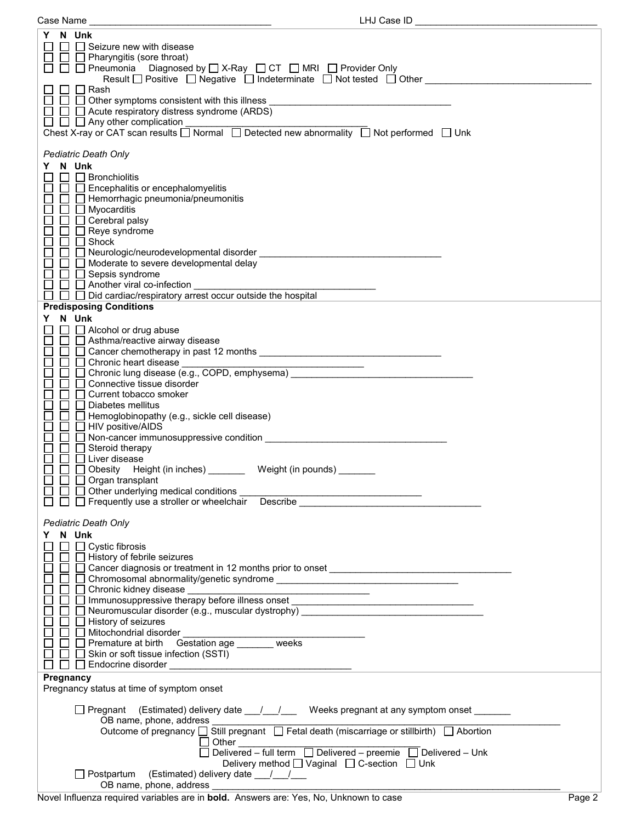| Case Name                                                                                                                                             | LHJ Case ID |
|-------------------------------------------------------------------------------------------------------------------------------------------------------|-------------|
| Y N Unk                                                                                                                                               |             |
| $\Box$ Seizure new with disease                                                                                                                       |             |
| $\Box$ Pharyngitis (sore throat)                                                                                                                      |             |
| □ □ Pneumonia Diagnosed by □ X-Ray □ CT □ MRI □ Provider Only                                                                                         |             |
| Result $\Box$ Positive $\Box$ Negative $\Box$ Indeterminate $\Box$ Not tested $\Box$ Other                                                            |             |
| $\Box$ Rash                                                                                                                                           |             |
| $\Box$ Other symptoms consistent with this illness<br>the control of the control of the control of the control of the control of the control of       |             |
| □ △ Acute respiratory distress syndrome (ARDS)                                                                                                        |             |
| $\Box$ $\Box$ Any other complication<br>Chest X-ray or CAT scan results $\Box$ Normal $\Box$ Detected new abnormality $\Box$ Not performed $\Box$ Unk |             |
|                                                                                                                                                       |             |
| <b>Pediatric Death Only</b>                                                                                                                           |             |
| N Unk<br>Y                                                                                                                                            |             |
| $\Box$<br>$\Box$ Bronchiolitis                                                                                                                        |             |
| $\Box$ Encephalitis or encephalomyelitis                                                                                                              |             |
| Hemorrhagic pneumonia/pneumonitis                                                                                                                     |             |
| $\Box$ Myocarditis                                                                                                                                    |             |
| $\Box$ $\Box$ Cerebral palsy                                                                                                                          |             |
| $\Box$ Reye syndrome                                                                                                                                  |             |
| $\Box$ Shock                                                                                                                                          |             |
| $\Box$ Moderate to severe developmental delay                                                                                                         |             |
| $\Box$ Sepsis syndrome                                                                                                                                |             |
| $\Box$ Another viral co-infection                                                                                                                     |             |
| $\Box$ Did cardiac/respiratory arrest occur outside the hospital                                                                                      |             |
| <b>Predisposing Conditions</b>                                                                                                                        |             |
| N Unk<br>Y.                                                                                                                                           |             |
| $\Box$ $\Box$ Alcohol or drug abuse                                                                                                                   |             |
| □ Asthma/reactive airway disease                                                                                                                      |             |
|                                                                                                                                                       |             |
| $\Box$ Chronic heart disease<br><u> 2000 - Jan Barnett, fransk politik (d. 18</u>                                                                     |             |
| □ Chronic lung disease (e.g., COPD, emphysema)                                                                                                        |             |
| □ Connective tissue disorder                                                                                                                          |             |
| □ Current tobacco smoker                                                                                                                              |             |
| Diabetes mellitus<br>$\Box$ Hemoglobinopathy (e.g., sickle cell disease)                                                                              |             |
| $\Box$ HIV positive/AIDS                                                                                                                              |             |
| □ Non-cancer immunosuppressive condition<br>□ Non-cancer immunosuppressive condition                                                                  |             |
| Steroid therapy<br>$\Box$                                                                                                                             |             |
| $\Box$ Liver disease                                                                                                                                  |             |
| □ Obesity Height (in inches) Weight (in pounds)                                                                                                       |             |
| $\Box$ Organ transplant                                                                                                                               |             |
| $\Box$ $\Box$ Other underlying medical conditions                                                                                                     |             |
| □ Frequently use a stroller or wheelchair Describe                                                                                                    |             |
| <b>Pediatric Death Only</b>                                                                                                                           |             |
| N Unk                                                                                                                                                 |             |
| $\Box$ Cystic fibrosis                                                                                                                                |             |
| $\Box$ History of febrile seizures                                                                                                                    |             |
|                                                                                                                                                       |             |
|                                                                                                                                                       |             |
| □ Chronic kidney disease _                                                                                                                            |             |
| □ Immunosuppressive therapy before illness onset                                                                                                      |             |
| $\Box$ Neuromuscular disorder (e.g., muscular dystrophy)                                                                                              |             |
| □ History of seizures                                                                                                                                 |             |
| □ Mitochondrial disorder<br>□ Premature at birth Gestation age _______ weeks                                                                          |             |
|                                                                                                                                                       |             |
| $\Box$ Skin or soft tissue infection (SSTI)<br>$\Box$ Endocrine disorder                                                                              |             |
| Pregnancy                                                                                                                                             |             |
| Pregnancy status at time of symptom onset                                                                                                             |             |
|                                                                                                                                                       |             |
| □ Pregnant (Estimated) delivery date ___/___/ Weeks pregnant at any symptom onset ______                                                              |             |
| OB name, phone, address                                                                                                                               |             |
| Outcome of pregnancy □ Still pregnant □ Fetal death (miscarriage or stillbirth) □ Abortion                                                            |             |
|                                                                                                                                                       |             |
|                                                                                                                                                       |             |
| Delivery method [ Vaginal [ C-section [ Unk                                                                                                           |             |
| □ Postpartum (Estimated) delivery date __/__/__<br>OB name, phone, address ________                                                                   |             |
|                                                                                                                                                       |             |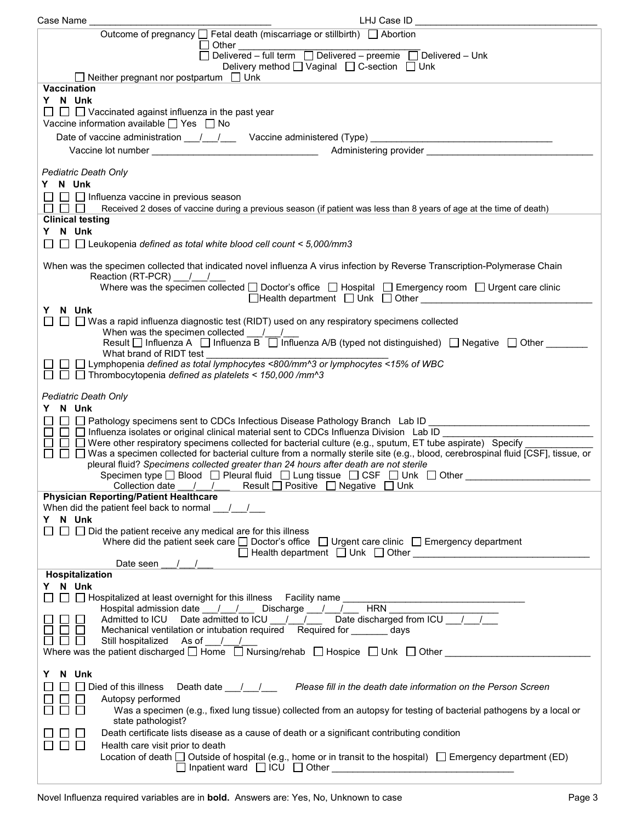| Case Name                                                                     | LHJ Case ID                                                                                                                                                                                                                                                                                                                                                    |
|-------------------------------------------------------------------------------|----------------------------------------------------------------------------------------------------------------------------------------------------------------------------------------------------------------------------------------------------------------------------------------------------------------------------------------------------------------|
|                                                                               | Outcome of pregnancy $\Box$ Fetal death (miscarriage or stillbirth) $\Box$ Abortion                                                                                                                                                                                                                                                                            |
|                                                                               | $\Box$ Other<br>Delivered - full term $\Box$ Delivered - preemie $\Box$ Delivered - Unk                                                                                                                                                                                                                                                                        |
|                                                                               | Delivery method $\Box$ Vaginal $\Box$ C-section $\Box$ Unk                                                                                                                                                                                                                                                                                                     |
| $\Box$ Neither pregnant nor postpartum $\Box$ Unk                             |                                                                                                                                                                                                                                                                                                                                                                |
| <b>Vaccination</b>                                                            |                                                                                                                                                                                                                                                                                                                                                                |
| Y N Unk<br>$\Box$ $\Box$ Vaccinated against influenza in the past year        |                                                                                                                                                                                                                                                                                                                                                                |
| Vaccine information available $\Box$ Yes $\Box$ No                            |                                                                                                                                                                                                                                                                                                                                                                |
|                                                                               | Date of vaccine administration 1.1.1. Vaccine administered (Type) [100]                                                                                                                                                                                                                                                                                        |
|                                                                               |                                                                                                                                                                                                                                                                                                                                                                |
|                                                                               |                                                                                                                                                                                                                                                                                                                                                                |
| Pediatric Death Only<br>Y N Unk                                               |                                                                                                                                                                                                                                                                                                                                                                |
| $\Box$ Influenza vaccine in previous season                                   |                                                                                                                                                                                                                                                                                                                                                                |
|                                                                               | Received 2 doses of vaccine during a previous season (if patient was less than 8 years of age at the time of death)                                                                                                                                                                                                                                            |
| <b>Clinical testing</b>                                                       |                                                                                                                                                                                                                                                                                                                                                                |
| Y N Unk                                                                       |                                                                                                                                                                                                                                                                                                                                                                |
| $\Box$ Leukopenia defined as total white blood cell count < 5,000/mm3         |                                                                                                                                                                                                                                                                                                                                                                |
|                                                                               | When was the specimen collected that indicated novel influenza A virus infection by Reverse Transcription-Polymerase Chain                                                                                                                                                                                                                                     |
| Reaction (RT-PCR)   / /                                                       |                                                                                                                                                                                                                                                                                                                                                                |
|                                                                               | Where was the specimen collected $\Box$ Doctor's office $\Box$ Hospital $\Box$ Emergency room $\Box$ Urgent care clinic<br>□Health department □ Unk □ Other <u>■ ■ The Willem Bookstone Bookstone Bookstone Bookstone Bookstone Bookstone Bookstone Bookstone Bookstone Bookstone Bookstone Bookstone Bookstone Bookstone Bookstone Bookstone Bookstone Bo</u> |
| Y N Unk                                                                       |                                                                                                                                                                                                                                                                                                                                                                |
|                                                                               | $\Box$ $\Box$ Was a rapid influenza diagnostic test (RIDT) used on any respiratory specimens collected                                                                                                                                                                                                                                                         |
| When was the specimen collected /                                             | Result $\Box$ Influenza A $\Box$ Influenza B $\Box$ Influenza A/B (typed not distinguished) $\Box$ Negative $\Box$ Other $\Box$                                                                                                                                                                                                                                |
| What brand of RIDT test                                                       |                                                                                                                                                                                                                                                                                                                                                                |
|                                                                               | □ Lymphopenia defined as total lymphocytes <800/mm^3 or lymphocytes <15% of WBC                                                                                                                                                                                                                                                                                |
| $\Box$ Thrombocytopenia defined as platelets < 150,000 /mm^3                  |                                                                                                                                                                                                                                                                                                                                                                |
| Pediatric Death Only                                                          |                                                                                                                                                                                                                                                                                                                                                                |
| Y N Unk                                                                       |                                                                                                                                                                                                                                                                                                                                                                |
|                                                                               | □ □ Pathology specimens sent to CDCs Infectious Disease Pathology Branch Lab ID _______________________________<br>$\Box$ Influenza isolates or original clinical material sent to CDCs Influenza Division Lab ID                                                                                                                                              |
|                                                                               | $\Box$ Were other respiratory specimens collected for bacterial culture (e.g., sputum, ET tube aspirate) Specify                                                                                                                                                                                                                                               |
|                                                                               | □ ■ Was a specimen collected for bacterial culture from a normally sterile site (e.g., blood, cerebrospinal fluid [CSF], tissue, or                                                                                                                                                                                                                            |
|                                                                               | pleural fluid? Specimens collected greater than 24 hours after death are not sterile<br>Specimen type $\square$ Blood $\square$ Pleural fluid $\square$ Lung tissue $\square$ CSF $\square$ Unk $\square$ Other                                                                                                                                                |
| Collection date<br>$\sqrt{ }$                                                 | Result $\Box$ Positive $\Box$ Negative $\Box$ Unk                                                                                                                                                                                                                                                                                                              |
| <b>Physician Reporting/Patient Healthcare</b>                                 |                                                                                                                                                                                                                                                                                                                                                                |
| When did the patient feel back to normal /                                    |                                                                                                                                                                                                                                                                                                                                                                |
| N Unk<br>Y<br>$\Box$ Did the patient receive any medical are for this illness |                                                                                                                                                                                                                                                                                                                                                                |
|                                                                               | Where did the patient seek care $\Box$ Doctor's office $\Box$ Urgent care clinic $\Box$ Emergency department                                                                                                                                                                                                                                                   |
|                                                                               |                                                                                                                                                                                                                                                                                                                                                                |
| Date seen<br>Hospitalization                                                  |                                                                                                                                                                                                                                                                                                                                                                |
| Y N Unk                                                                       |                                                                                                                                                                                                                                                                                                                                                                |
| $\Box$ Hospitalized at least overnight for this illness Facility name         |                                                                                                                                                                                                                                                                                                                                                                |
|                                                                               | <b>HRN</b><br>Hospital admission date ___/___/____ Discharge ___/___/___<br>Admitted to ICU Date admitted to ICU / / / Date discharged from ICU / /                                                                                                                                                                                                            |
|                                                                               | Mechanical ventilation or intubation required Required for ________ days                                                                                                                                                                                                                                                                                       |
| Still hospitalized As of 1.                                                   |                                                                                                                                                                                                                                                                                                                                                                |
|                                                                               | Where was the patient discharged $\square$ Home $\square$ Nursing/rehab $\square$ Hospice $\square$ Unk $\square$ Other                                                                                                                                                                                                                                        |
| N Unk<br>Y.                                                                   |                                                                                                                                                                                                                                                                                                                                                                |
|                                                                               | Died of this illness Death date 1 1, 1, Please fill in the death date information on the Person Screen                                                                                                                                                                                                                                                         |
| Autopsy performed                                                             |                                                                                                                                                                                                                                                                                                                                                                |
| $\mathbf{L}$<br>state pathologist?                                            | Was a specimen (e.g., fixed lung tissue) collected from an autopsy for testing of bacterial pathogens by a local or                                                                                                                                                                                                                                            |
|                                                                               | Death certificate lists disease as a cause of death or a significant contributing condition                                                                                                                                                                                                                                                                    |
| $\perp$<br>Health care visit prior to death                                   |                                                                                                                                                                                                                                                                                                                                                                |
|                                                                               | Location of death $\Box$ Outside of hospital (e.g., home or in transit to the hospital) $\Box$ Emergency department (ED)                                                                                                                                                                                                                                       |
|                                                                               |                                                                                                                                                                                                                                                                                                                                                                |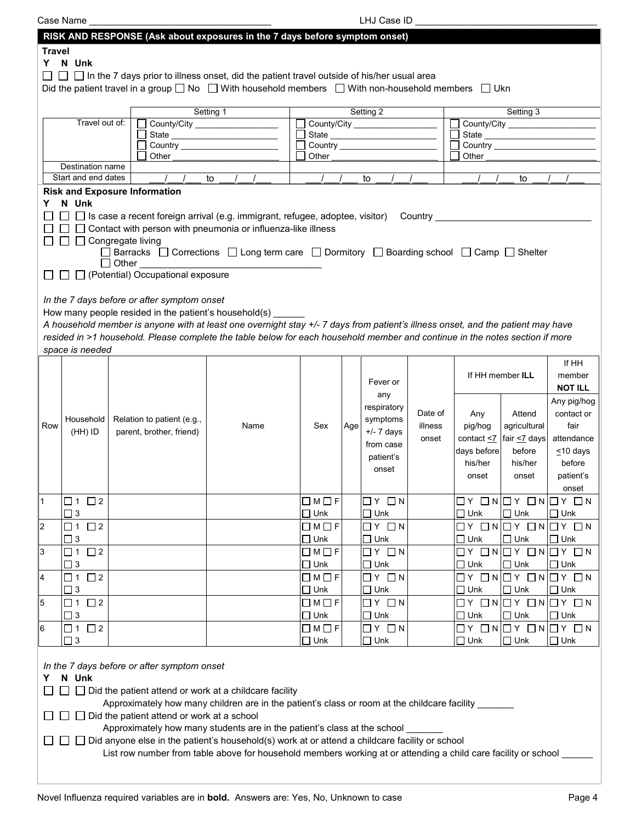|                | Case Name               |              |                                                       |                                                                                                                                 |                         |     | LHJ Case ID                 |         |             |                                             |                |
|----------------|-------------------------|--------------|-------------------------------------------------------|---------------------------------------------------------------------------------------------------------------------------------|-------------------------|-----|-----------------------------|---------|-------------|---------------------------------------------|----------------|
|                |                         |              |                                                       | RISK AND RESPONSE (Ask about exposures in the 7 days before symptom onset)                                                      |                         |     |                             |         |             |                                             |                |
| <b>Travel</b>  |                         |              |                                                       |                                                                                                                                 |                         |     |                             |         |             |                                             |                |
|                | Y N Unk                 |              |                                                       |                                                                                                                                 |                         |     |                             |         |             |                                             |                |
|                |                         |              |                                                       |                                                                                                                                 |                         |     |                             |         |             |                                             |                |
|                |                         |              |                                                       | $\Box$ In the 7 days prior to illness onset, did the patient travel outside of his/her usual area                               |                         |     |                             |         |             |                                             |                |
|                |                         |              |                                                       | Did the patient travel in a group $\Box$ No $\Box$ With household members $\Box$ With non-household members $\Box$ Ukn          |                         |     |                             |         |             |                                             |                |
|                |                         |              |                                                       |                                                                                                                                 |                         |     |                             |         |             |                                             |                |
|                |                         |              |                                                       | Setting 1                                                                                                                       |                         |     | Setting 2                   |         |             | Setting 3                                   |                |
|                | Travel out of:          |              |                                                       |                                                                                                                                 |                         |     | County/City                 |         |             | County/City                                 |                |
|                |                         |              |                                                       |                                                                                                                                 |                         |     |                             |         |             |                                             |                |
|                |                         |              |                                                       |                                                                                                                                 |                         |     |                             |         |             |                                             |                |
|                |                         |              | Other                                                 |                                                                                                                                 | Other                   |     |                             |         | Other       |                                             |                |
|                | Destination name        |              |                                                       |                                                                                                                                 |                         |     |                             |         |             |                                             |                |
|                | Start and end dates     |              |                                                       | to                                                                                                                              |                         |     | to                          |         |             | to                                          |                |
|                |                         |              | <b>Risk and Exposure Information</b>                  |                                                                                                                                 |                         |     |                             |         |             |                                             |                |
| Y              | N Unk                   |              |                                                       |                                                                                                                                 |                         |     |                             |         |             |                                             |                |
|                |                         |              |                                                       | $\square$ $\square$ Is case a recent foreign arrival (e.g. immigrant, refugee, adoptee, visitor) $\quad$ Country $\_\_$         |                         |     |                             |         |             |                                             |                |
|                |                         |              |                                                       | $\Box$ Contact with person with pneumonia or influenza-like illness                                                             |                         |     |                             |         |             |                                             |                |
|                |                         |              |                                                       |                                                                                                                                 |                         |     |                             |         |             |                                             |                |
|                | □ □ Congregate living   |              |                                                       |                                                                                                                                 |                         |     |                             |         |             |                                             |                |
|                |                         |              |                                                       | □ Barracks □ Corrections □ Long term care □ Dormitory □ Boarding school □ Camp □ Shelter                                        |                         |     |                             |         |             |                                             |                |
|                |                         | $\Box$ Other |                                                       |                                                                                                                                 |                         |     |                             |         |             |                                             |                |
|                |                         |              | □ □ (Potential) Occupational exposure                 |                                                                                                                                 |                         |     |                             |         |             |                                             |                |
|                |                         |              |                                                       |                                                                                                                                 |                         |     |                             |         |             |                                             |                |
|                |                         |              | In the 7 days before or after symptom onset           |                                                                                                                                 |                         |     |                             |         |             |                                             |                |
|                |                         |              | How many people resided in the patient's household(s) |                                                                                                                                 |                         |     |                             |         |             |                                             |                |
|                |                         |              |                                                       | A household member is anyone with at least one overnight stay +/- 7 days from patient's illness onset, and the patient may have |                         |     |                             |         |             |                                             |                |
|                |                         |              |                                                       |                                                                                                                                 |                         |     |                             |         |             |                                             |                |
|                |                         |              |                                                       | resided in >1 household. Please complete the table below for each household member and continue in the notes section if more    |                         |     |                             |         |             |                                             |                |
|                | space is needed         |              |                                                       |                                                                                                                                 |                         |     |                             |         |             |                                             |                |
|                |                         |              |                                                       |                                                                                                                                 |                         |     |                             |         |             |                                             | If HH          |
|                |                         |              |                                                       |                                                                                                                                 |                         |     |                             |         |             | If HH member ILL                            | member         |
|                |                         |              |                                                       |                                                                                                                                 |                         |     | Fever or                    |         |             |                                             | <b>NOT ILL</b> |
|                |                         |              |                                                       |                                                                                                                                 |                         |     | any                         |         |             |                                             |                |
|                |                         |              |                                                       |                                                                                                                                 |                         |     | respiratory                 |         |             |                                             | Any pig/hog    |
|                | Household               |              | Relation to patient (e.g.,                            |                                                                                                                                 |                         |     | symptoms                    | Date of | Any         | Attend                                      | contact or     |
| Row            | (HH) ID                 |              | parent, brother, friend)                              | Name                                                                                                                            | Sex                     | Age | $+/- 7$ days                | illness | pig/hog     | agricultural                                | fair           |
|                |                         |              |                                                       |                                                                                                                                 |                         |     |                             | onset   |             | contact $\leq$ fair $\leq$ days             | attendance     |
|                |                         |              |                                                       |                                                                                                                                 |                         |     | from case                   |         | days before | before                                      | $\leq 10$ days |
|                |                         |              |                                                       |                                                                                                                                 |                         |     | patient's                   |         | his/her     | his/her                                     | before         |
|                |                         |              |                                                       |                                                                                                                                 |                         |     | onset                       |         |             |                                             |                |
|                |                         |              |                                                       |                                                                                                                                 |                         |     |                             |         | onset       | onset                                       | patient's      |
|                |                         |              |                                                       |                                                                                                                                 |                         |     |                             |         |             |                                             | onset          |
| $\mathbf{1}$   | $\Box$ 1 $\Box$ 2       |              |                                                       |                                                                                                                                 | $\Box M \Box F$         |     | $\Box$ $Y$ $\Box$ $N$       |         |             | $\Box Y \Box N \Box Y \Box N \Box Y \Box N$ |                |
|                | $\Box$ 3                |              |                                                       |                                                                                                                                 | $\Box$ Unk              |     | $\Box$ Unk                  |         | $\Box$ Unk  | $\Box$ Unk                                  | $\Box$ Unk     |
| $\overline{c}$ | $\square$ 2<br>$\Box$ 1 |              |                                                       |                                                                                                                                 | $\Box M \Box F$         |     | $\Box$ $Y$ $\Box$ $N$       |         |             | $\Box Y \Box N \Box Y \Box N \Box Y \Box N$ |                |
|                |                         |              |                                                       |                                                                                                                                 |                         |     |                             |         |             |                                             |                |
|                | $\Box$ 3                |              |                                                       |                                                                                                                                 | $\Box$ Unk              |     | $\Box$ Unk                  |         | $\Box$ Unk  | $\Box$ Unk                                  | $\square$ Unk  |
| 3              | $\square$ 2<br>$\Box$ 1 |              |                                                       |                                                                                                                                 | $\Box$ M $\Box$ F       |     | $\square$ $Y$ $\square$ $N$ |         |             | $\Box Y \Box N \Box Y \Box N \Box Y \Box N$ |                |
|                | $\Box$ 3                |              |                                                       |                                                                                                                                 | $\square$ Unk           |     | $\square$ Unk               |         | $\Box$ Unk  | $\Box$ Unk                                  | $\Box$ Unk     |
| $\overline{4}$ | $\square$ 2<br>$\Box$ 1 |              |                                                       |                                                                                                                                 | $\Box M \Box F$         |     | $\Box$ $Y$ $\Box$ $N$       |         |             | $\Box Y \Box N \Box Y \Box N \Box Y \Box N$ |                |
|                | $\Box$ 3                |              |                                                       |                                                                                                                                 | $\Box$ Unk              |     | $\square$ Unk               |         | $\Box$ Unk  | $\Box$ Unk                                  | $\Box$ Unk     |
|                | $\square$ 2             |              |                                                       |                                                                                                                                 | $\Box M \Box F$         |     | $\Box$ $Y$ $\Box$ $N$       |         |             | $\Box Y \Box N \Box Y \Box N \Box Y \Box N$ |                |
| 5              | □ 1                     |              |                                                       |                                                                                                                                 |                         |     |                             |         |             |                                             |                |
|                | $\Box$ 3                |              |                                                       |                                                                                                                                 | $\Box$ Unk              |     | $\square$ Unk               |         | $\Box$ Unk  | $\Box$ Unk                                  | $\Box$ Unk     |
| 6              | $\square$ 2<br>$\Box$ 1 |              |                                                       |                                                                                                                                 | $\square$ M $\square$ F |     | $\Box$ $Y$ $\Box$ $N$       |         |             | $\Box Y \Box N \Box Y \Box N \Box Y \Box N$ |                |
|                | $\Box$ 3                |              |                                                       |                                                                                                                                 | $\square$ Unk           |     | $\square$ Unk               |         | $\Box$ Unk  | $\Box$ Unk                                  | $\Box$ Unk     |
|                |                         |              |                                                       |                                                                                                                                 |                         |     |                             |         |             |                                             |                |
|                |                         |              |                                                       |                                                                                                                                 |                         |     |                             |         |             |                                             |                |
|                |                         |              | In the 7 days before or after symptom onset           |                                                                                                                                 |                         |     |                             |         |             |                                             |                |
| Y              | N Unk                   |              |                                                       |                                                                                                                                 |                         |     |                             |         |             |                                             |                |
|                |                         |              |                                                       | □ Did the patient attend or work at a childcare facility                                                                        |                         |     |                             |         |             |                                             |                |
|                |                         |              |                                                       | Approximately how many children are in the patient's class or room at the childcare facility ______                             |                         |     |                             |         |             |                                             |                |
|                |                         |              | Did the patient attend or work at a school            |                                                                                                                                 |                         |     |                             |         |             |                                             |                |
|                |                         |              |                                                       | Approximately how many students are in the patient's class at the school                                                        |                         |     |                             |         |             |                                             |                |
|                |                         |              |                                                       |                                                                                                                                 |                         |     |                             |         |             |                                             |                |
|                |                         |              |                                                       | Did anyone else in the patient's household(s) work at or attend a childcare facility or school                                  |                         |     |                             |         |             |                                             |                |
|                |                         |              |                                                       | List row number from table above for household members working at or attending a child care facility or school                  |                         |     |                             |         |             |                                             |                |
|                |                         |              |                                                       |                                                                                                                                 |                         |     |                             |         |             |                                             |                |
|                |                         |              |                                                       |                                                                                                                                 |                         |     |                             |         |             |                                             |                |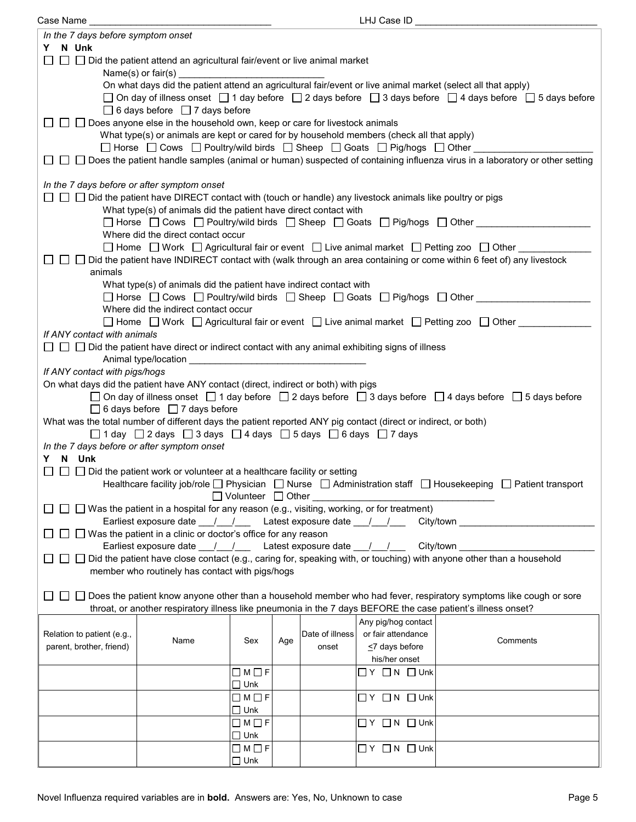| Case Name                                                                                                      |                                                                                                                                                                  |                   |     |                 | LHJ Case ID ____________     |                                                                                                                                     |  |  |  |
|----------------------------------------------------------------------------------------------------------------|------------------------------------------------------------------------------------------------------------------------------------------------------------------|-------------------|-----|-----------------|------------------------------|-------------------------------------------------------------------------------------------------------------------------------------|--|--|--|
| In the 7 days before symptom onset                                                                             |                                                                                                                                                                  |                   |     |                 |                              |                                                                                                                                     |  |  |  |
| Y N Unk                                                                                                        |                                                                                                                                                                  |                   |     |                 |                              |                                                                                                                                     |  |  |  |
|                                                                                                                | $\Box$ Did the patient attend an agricultural fair/event or live animal market                                                                                   |                   |     |                 |                              |                                                                                                                                     |  |  |  |
|                                                                                                                |                                                                                                                                                                  |                   |     |                 |                              |                                                                                                                                     |  |  |  |
|                                                                                                                |                                                                                                                                                                  |                   |     |                 |                              | On what days did the patient attend an agricultural fair/event or live animal market (select all that apply)                        |  |  |  |
|                                                                                                                |                                                                                                                                                                  |                   |     |                 |                              | $□$ On day of illness onset $□$ 1 day before $□$ 2 days before $□$ 3 days before $□$ 4 days before $□$ 5 days before                |  |  |  |
|                                                                                                                | $\Box$ 6 days before $\Box$ 7 days before                                                                                                                        |                   |     |                 |                              |                                                                                                                                     |  |  |  |
|                                                                                                                | $\Box$ $\Box$ Does anyone else in the household own, keep or care for livestock animals                                                                          |                   |     |                 |                              |                                                                                                                                     |  |  |  |
|                                                                                                                | What type(s) or animals are kept or cared for by household members (check all that apply)                                                                        |                   |     |                 |                              |                                                                                                                                     |  |  |  |
|                                                                                                                | $\Box$ Horse $\Box$ Cows $\Box$ Poultry/wild birds $\Box$ Sheep $\Box$ Goats $\Box$ Pig/hogs $\Box$ Other                                                        |                   |     |                 |                              |                                                                                                                                     |  |  |  |
|                                                                                                                |                                                                                                                                                                  |                   |     |                 |                              | □ □ Does the patient handle samples (animal or human) suspected of containing influenza virus in a laboratory or other setting      |  |  |  |
|                                                                                                                |                                                                                                                                                                  |                   |     |                 |                              |                                                                                                                                     |  |  |  |
| In the 7 days before or after symptom onset                                                                    |                                                                                                                                                                  |                   |     |                 |                              |                                                                                                                                     |  |  |  |
|                                                                                                                | $\Box$ $\Box$ Did the patient have DIRECT contact with (touch or handle) any livestock animals like poultry or pigs                                              |                   |     |                 |                              |                                                                                                                                     |  |  |  |
|                                                                                                                | What type(s) of animals did the patient have direct contact with                                                                                                 |                   |     |                 |                              |                                                                                                                                     |  |  |  |
|                                                                                                                |                                                                                                                                                                  |                   |     |                 |                              | □ Horse □ Cows □ Poultry/wild birds □ Sheep □ Goats □ Pig/hogs □ Other ________                                                     |  |  |  |
|                                                                                                                | Where did the direct contact occur<br>$\Box$ Home $\Box$ Work $\Box$ Agricultural fair or event $\Box$ Live animal market $\Box$ Petting zoo $\Box$ Other $\Box$ |                   |     |                 |                              |                                                                                                                                     |  |  |  |
|                                                                                                                |                                                                                                                                                                  |                   |     |                 |                              | □ □ Did the patient have INDIRECT contact with (walk through an area containing or come within 6 feet of) any livestock             |  |  |  |
| animals                                                                                                        |                                                                                                                                                                  |                   |     |                 |                              |                                                                                                                                     |  |  |  |
|                                                                                                                | What type(s) of animals did the patient have indirect contact with                                                                                               |                   |     |                 |                              |                                                                                                                                     |  |  |  |
|                                                                                                                |                                                                                                                                                                  |                   |     |                 |                              | □ Horse □ Cows □ Poultry/wild birds □ Sheep □ Goats □ Pig/hogs □ Other _________                                                    |  |  |  |
|                                                                                                                | Where did the indirect contact occur                                                                                                                             |                   |     |                 |                              |                                                                                                                                     |  |  |  |
|                                                                                                                |                                                                                                                                                                  |                   |     |                 |                              | □ Home □ Work □ Agricultural fair or event □ Live animal market □ Petting zoo □ Other ______                                        |  |  |  |
| If ANY contact with animals                                                                                    |                                                                                                                                                                  |                   |     |                 |                              |                                                                                                                                     |  |  |  |
|                                                                                                                | $\Box$ $\Box$ Did the patient have direct or indirect contact with any animal exhibiting signs of illness                                                        |                   |     |                 |                              |                                                                                                                                     |  |  |  |
|                                                                                                                |                                                                                                                                                                  |                   |     |                 |                              |                                                                                                                                     |  |  |  |
| If ANY contact with pigs/hogs                                                                                  |                                                                                                                                                                  |                   |     |                 |                              |                                                                                                                                     |  |  |  |
|                                                                                                                | On what days did the patient have ANY contact (direct, indirect or both) with pigs                                                                               |                   |     |                 |                              |                                                                                                                                     |  |  |  |
|                                                                                                                |                                                                                                                                                                  |                   |     |                 |                              | □ On day of illness onset $\Box$ 1 day before $\Box$ 2 days before $\Box$ 3 days before $\Box$ 4 days before $\Box$ 5 days before   |  |  |  |
|                                                                                                                | $\Box$ 6 days before $\Box$ 7 days before                                                                                                                        |                   |     |                 |                              |                                                                                                                                     |  |  |  |
| What was the total number of different days the patient reported ANY pig contact (direct or indirect, or both) |                                                                                                                                                                  |                   |     |                 |                              |                                                                                                                                     |  |  |  |
|                                                                                                                | $\Box$ 1 day $\Box$ 2 days $\Box$ 3 days $\Box$ 4 days $\Box$ 5 days $\Box$ 6 days $\Box$ 7 days                                                                 |                   |     |                 |                              |                                                                                                                                     |  |  |  |
| In the 7 days before or after symptom onset                                                                    |                                                                                                                                                                  |                   |     |                 |                              |                                                                                                                                     |  |  |  |
| Y N Unk                                                                                                        |                                                                                                                                                                  |                   |     |                 |                              |                                                                                                                                     |  |  |  |
|                                                                                                                | $\Box$ $\Box$ Did the patient work or volunteer at a healthcare facility or setting                                                                              |                   |     |                 |                              |                                                                                                                                     |  |  |  |
|                                                                                                                |                                                                                                                                                                  |                   |     |                 |                              | Healthcare facility job/role $\Box$ Physician $\Box$ Nurse $\Box$ Administration staff $\Box$ Housekeeping $\Box$ Patient transport |  |  |  |
|                                                                                                                |                                                                                                                                                                  |                   |     |                 |                              |                                                                                                                                     |  |  |  |
|                                                                                                                | $\Box$ Was the patient in a hospital for any reason (e.g., visiting, working, or for treatment)                                                                  |                   |     |                 |                              |                                                                                                                                     |  |  |  |
|                                                                                                                | Earliest exposure date __/__/_______Latest exposure date __/___/________________                                                                                 |                   |     |                 |                              |                                                                                                                                     |  |  |  |
|                                                                                                                | $\Box$ Was the patient in a clinic or doctor's office for any reason                                                                                             |                   |     |                 |                              | Earliest exposure date ___/___/ Latest exposure date ___/___/ ___ City/town _______________________                                 |  |  |  |
|                                                                                                                |                                                                                                                                                                  |                   |     |                 |                              | □ Did the patient have close contact (e.g., caring for, speaking with, or touching) with anyone other than a household              |  |  |  |
|                                                                                                                | member who routinely has contact with pigs/hogs                                                                                                                  |                   |     |                 |                              |                                                                                                                                     |  |  |  |
|                                                                                                                |                                                                                                                                                                  |                   |     |                 |                              |                                                                                                                                     |  |  |  |
|                                                                                                                |                                                                                                                                                                  |                   |     |                 |                              | Does the patient know anyone other than a household member who had fever, respiratory symptoms like cough or sore                   |  |  |  |
|                                                                                                                |                                                                                                                                                                  |                   |     |                 |                              | throat, or another respiratory illness like pneumonia in the 7 days BEFORE the case patient's illness onset?                        |  |  |  |
|                                                                                                                |                                                                                                                                                                  |                   |     |                 | Any pig/hog contact          |                                                                                                                                     |  |  |  |
| Relation to patient (e.g.,                                                                                     |                                                                                                                                                                  |                   |     | Date of illness | or fair attendance           |                                                                                                                                     |  |  |  |
| parent, brother, friend)                                                                                       | Name                                                                                                                                                             | Sex               | Age | onset           | $\leq$ 7 days before         | Comments                                                                                                                            |  |  |  |
|                                                                                                                |                                                                                                                                                                  |                   |     |                 | his/her onset                |                                                                                                                                     |  |  |  |
|                                                                                                                |                                                                                                                                                                  | $\Box$ M $\Box$ F |     |                 | $\Box$ Y $\Box$ N $\Box$ Unk |                                                                                                                                     |  |  |  |
|                                                                                                                |                                                                                                                                                                  | $\square$ Unk     |     |                 |                              |                                                                                                                                     |  |  |  |
|                                                                                                                |                                                                                                                                                                  | $\Box M \Box F$   |     |                 | $\Box$ Y $\Box$ N $\Box$ Unk |                                                                                                                                     |  |  |  |
|                                                                                                                |                                                                                                                                                                  | $\Box$ Unk        |     |                 |                              |                                                                                                                                     |  |  |  |
|                                                                                                                |                                                                                                                                                                  | $\Box M \Box F$   |     |                 | $\Box$ Y $\Box$ N $\Box$ Unk |                                                                                                                                     |  |  |  |
|                                                                                                                |                                                                                                                                                                  | $\Box$ Unk        |     |                 |                              |                                                                                                                                     |  |  |  |
|                                                                                                                |                                                                                                                                                                  | $\Box M \Box F$   |     |                 | $\Box$ Y $\Box$ N $\Box$ Unk |                                                                                                                                     |  |  |  |
|                                                                                                                |                                                                                                                                                                  | $\Box$ Unk        |     |                 |                              |                                                                                                                                     |  |  |  |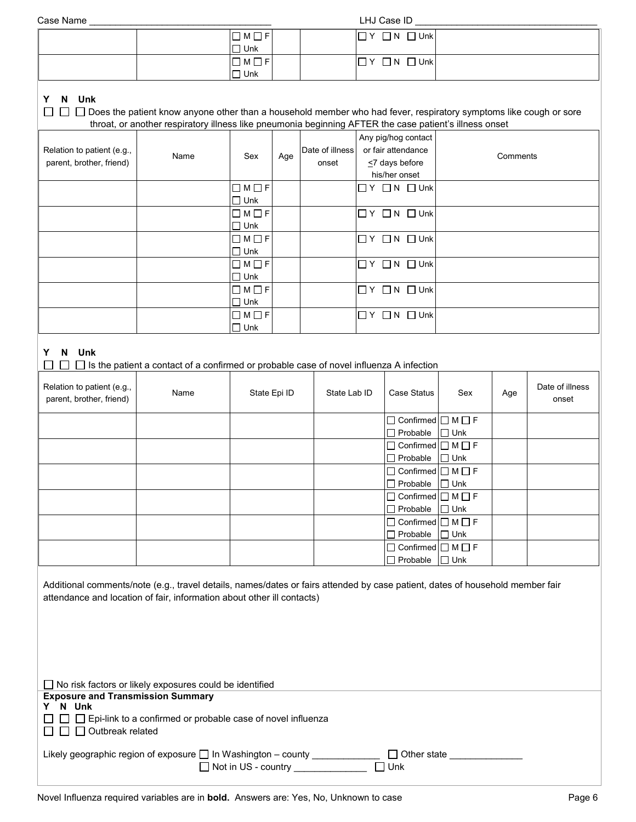| Case Name |
|-----------|
|           |

Case Name \_\_\_\_\_\_\_\_\_\_\_\_\_\_\_\_\_\_\_\_\_\_\_\_\_\_\_\_\_\_\_\_\_\_\_ LHJ Case ID \_\_\_\_\_\_\_\_\_\_\_\_\_\_\_\_\_\_\_\_\_\_\_\_\_\_\_\_\_\_\_\_\_\_\_

| $\Box M \Box F$ | $\Box$ Unk<br>$\Box$ N<br>Y |  |
|-----------------|-----------------------------|--|
| $\Box$ Unk      |                             |  |
| $\Box M \Box F$ | $\Box$ N $\Box$ Unk<br>ı Y  |  |
| $\Box$ Unk      |                             |  |

## **Y N** Unk<br>□ □ □ □ Do

| $\Box$ $\Box$ Does the patient know anyone other than a household member who had fever, respiratory symptoms like cough or sore |
|---------------------------------------------------------------------------------------------------------------------------------|
| throat, or another respiratory illness like pneumonia beginning AFTER the case patient's illness onset                          |

| Relation to patient (e.g.,<br>parent, brother, friend) | Name | Sex                              | Age | Date of illness<br>onset | Any pig/hog contact<br>or fair attendance<br>$\leq$ 7 days before<br>his/her onset | Comments |
|--------------------------------------------------------|------|----------------------------------|-----|--------------------------|------------------------------------------------------------------------------------|----------|
|                                                        |      | $\Box M \Box F$<br>$\Box$ Unk    |     |                          | $\Box$ $Y$ $\Box$ $N$ $\Box$ Unk                                                   |          |
|                                                        |      | $\Box M \Box F$<br>$\Box$ Unk    |     |                          | $\Box$ Unk<br>$\Box$ $Y$ $\Box$ $N$                                                |          |
|                                                        |      | $\Box M \Box F$<br>$\Box$ Unk    |     |                          | $\Box$ $Y$ $\Box$ $N$ $\Box$ Unk                                                   |          |
|                                                        |      | $\Box M \Box F$<br>$\square$ Unk |     |                          | $\Box$ Y $\Box$ N $\Box$ Unk                                                       |          |
|                                                        |      | $\Box M \Box F$<br>$\Box$ Unk    |     |                          | $\Box$ Y $\Box$ N $\Box$ Unk                                                       |          |
|                                                        |      | $\Box M \Box F$<br>$\square$ Unk |     |                          | $\Box$ $Y$ $\Box$ $N$<br>$\Box$ Unk                                                |          |

## **Y N Unk**

|  |  |  | $\Box~\Box~\Box$ Is the patient a contact of a confirmed or probable case of novel influenza A infection |  |  |
|--|--|--|----------------------------------------------------------------------------------------------------------|--|--|
|  |  |  |                                                                                                          |  |  |

| Relation to patient (e.g.,<br>parent, brother, friend) | Name | State Epi ID | State Lab ID | Case Status                        | Sex | Age | Date of illness<br>onset |
|--------------------------------------------------------|------|--------------|--------------|------------------------------------|-----|-----|--------------------------|
|                                                        |      |              |              | $\Box$ Confirmed $\Box$ M $\Box$ F |     |     |                          |
|                                                        |      |              |              | $\Box$ Probable $\Box$ Unk         |     |     |                          |
|                                                        |      |              |              | $\Box$ Confirmed $\Box$ M $\Box$ F |     |     |                          |
|                                                        |      |              |              | $\Box$ Probable $\Box$ Unk         |     |     |                          |
|                                                        |      |              |              | $\Box$ Confirmed $\Box$ M $\Box$ F |     |     |                          |
|                                                        |      |              |              | $\Box$ Probable $\Box$ Unk         |     |     |                          |
|                                                        |      |              |              | $\Box$ Confirmed $\Box$ M $\Box$ F |     |     |                          |
|                                                        |      |              |              | $\Box$ Probable $\Box$ Unk         |     |     |                          |
|                                                        |      |              |              | $\Box$ Confirmed $\Box$ M $\Box$ F |     |     |                          |
|                                                        |      |              |              | $\Box$ Probable $\Box$ Unk         |     |     |                          |
|                                                        |      |              |              | $\Box$ Confirmed $\Box$ M $\Box$ F |     |     |                          |
|                                                        |      |              |              | $\Box$ Probable $\Box$ Unk         |     |     |                          |

Additional comments/note (e.g., travel details, names/dates or fairs attended by case patient, dates of household member fair attendance and location of fair, information about other ill contacts)

| No risk factors or likely exposures could be identified                                  |
|------------------------------------------------------------------------------------------|
| <b>Exposure and Transmission Summary</b>                                                 |
| N Unk                                                                                    |
| $\Box$ $\Box$ Epi-link to a confirmed or probable case of novel influenza                |
| $\Box$ $\Box$ Outbreak related                                                           |
|                                                                                          |
| Likely geographic region of exposure $\Box$ In Washington – county<br>$\Box$ Other state |
| $\Box$ Not in US - country<br><b>□ Unk</b>                                               |
|                                                                                          |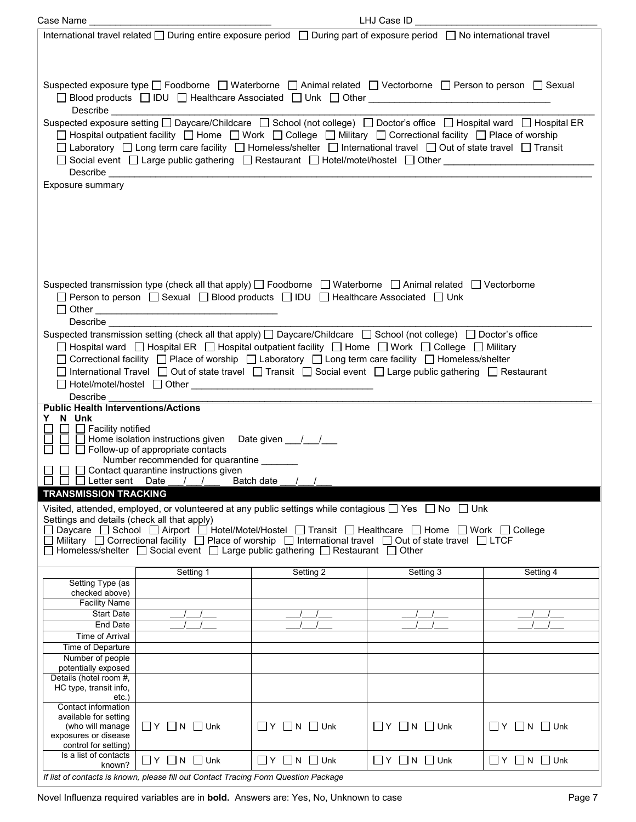| Case Name                                                                                                                                             |                                                                                                                                                                                                                                                                                                                                                                                                                                                                          |                                  | LHJ Case ID                      |                                                                                                                |  |
|-------------------------------------------------------------------------------------------------------------------------------------------------------|--------------------------------------------------------------------------------------------------------------------------------------------------------------------------------------------------------------------------------------------------------------------------------------------------------------------------------------------------------------------------------------------------------------------------------------------------------------------------|----------------------------------|----------------------------------|----------------------------------------------------------------------------------------------------------------|--|
|                                                                                                                                                       | International travel related □ During entire exposure period □ During part of exposure period □ No international travel                                                                                                                                                                                                                                                                                                                                                  |                                  |                                  |                                                                                                                |  |
| Exposure summary                                                                                                                                      | Suspected exposure type □ Foodborne □ Waterborne □ Animal related □ Vectorborne □ Person to person □ Sexual<br>Suspected exposure setting □ Daycare/Childcare □ School (not college) □ Doctor's office □ Hospital ward □ Hospital ER<br>□ Hospital outpatient facility □ Home □ Work □ College □ Military □ Correctional facility □ Place of worship<br>□ Laboratory □ Long term care facility □ Homeless/shelter □ International travel □ Out of state travel □ Transit |                                  |                                  | □ Social event □ Large public gathering □ Restaurant □ Hotel/motel/hostel □ Other ____________________________ |  |
|                                                                                                                                                       |                                                                                                                                                                                                                                                                                                                                                                                                                                                                          |                                  |                                  |                                                                                                                |  |
|                                                                                                                                                       | Suspected transmission type (check all that apply) [ Foodborne   Waterborne   Animal related   Vectorborne<br>□ Person to person □ Sexual □ Blood products □ IDU □ Healthcare Associated □ Unk                                                                                                                                                                                                                                                                           |                                  |                                  |                                                                                                                |  |
| Describe                                                                                                                                              |                                                                                                                                                                                                                                                                                                                                                                                                                                                                          |                                  |                                  |                                                                                                                |  |
|                                                                                                                                                       | Suspected transmission setting (check all that apply) $\Box$ Daycare/Childcare $\Box$ School (not college) $\Box$ Doctor's office                                                                                                                                                                                                                                                                                                                                        |                                  |                                  |                                                                                                                |  |
|                                                                                                                                                       | □ Hospital ward □ Hospital ER □ Hospital outpatient facility □ Home □ Work □ College □ Military                                                                                                                                                                                                                                                                                                                                                                          |                                  |                                  |                                                                                                                |  |
|                                                                                                                                                       | □ Correctional facility □ Place of worship □ Laboratory □ Long term care facility □ Homeless/shelter<br>□ International Travel □ Out of state travel □ Transit □ Social event □ Large public gathering □ Restaurant                                                                                                                                                                                                                                                      |                                  |                                  |                                                                                                                |  |
|                                                                                                                                                       |                                                                                                                                                                                                                                                                                                                                                                                                                                                                          |                                  |                                  |                                                                                                                |  |
| Describe                                                                                                                                              |                                                                                                                                                                                                                                                                                                                                                                                                                                                                          |                                  |                                  |                                                                                                                |  |
| <b>Public Health Interventions/Actions</b>                                                                                                            |                                                                                                                                                                                                                                                                                                                                                                                                                                                                          |                                  |                                  |                                                                                                                |  |
| Y N Unk                                                                                                                                               | □ □ Facility notified<br>□ □ Home isolation instructions given  Date given  __/__/__<br>□ □ □ Home isolation incurrence.<br>□ □ □ Follow-up of appropriate contacts<br>Number recommended for quarantine _______                                                                                                                                                                                                                                                         |                                  |                                  |                                                                                                                |  |
| $\Box$ $\Box$ $\Box$ Contact quarantine instructions given<br>$\Box$ $\Box$ Letter sent Date $\_\_\_\_\_\_\_\$ Batch date $\_\_\_\_\_\_\_\_\_\_\_\_\$ |                                                                                                                                                                                                                                                                                                                                                                                                                                                                          |                                  |                                  |                                                                                                                |  |
| <b>TRANSMISSION TRACKING</b>                                                                                                                          |                                                                                                                                                                                                                                                                                                                                                                                                                                                                          |                                  |                                  |                                                                                                                |  |
|                                                                                                                                                       |                                                                                                                                                                                                                                                                                                                                                                                                                                                                          |                                  |                                  |                                                                                                                |  |
| Settings and details (check all that apply)                                                                                                           | Visited, attended, employed, or volunteered at any public settings while contagious $\Box$ Yes $\Box$ No $\Box$ Unk                                                                                                                                                                                                                                                                                                                                                      |                                  |                                  |                                                                                                                |  |
|                                                                                                                                                       | Daycare □ School □ Airport □ Hotel/Motel/Hostel □ Transit □ Healthcare □ Home □ Work □ College                                                                                                                                                                                                                                                                                                                                                                           |                                  |                                  |                                                                                                                |  |
|                                                                                                                                                       | Military Correctional facility C Place of worship C International travel C Out of state travel C LTCF<br>  Homeless/shelter □ Social event □ Large public gathering □ Restaurant □ Other                                                                                                                                                                                                                                                                                 |                                  |                                  |                                                                                                                |  |
|                                                                                                                                                       |                                                                                                                                                                                                                                                                                                                                                                                                                                                                          |                                  |                                  |                                                                                                                |  |
|                                                                                                                                                       | Setting 1                                                                                                                                                                                                                                                                                                                                                                                                                                                                | Setting 2                        | Setting 3                        | Setting 4                                                                                                      |  |
| Setting Type (as                                                                                                                                      |                                                                                                                                                                                                                                                                                                                                                                                                                                                                          |                                  |                                  |                                                                                                                |  |
| checked above)<br><b>Facility Name</b>                                                                                                                |                                                                                                                                                                                                                                                                                                                                                                                                                                                                          |                                  |                                  |                                                                                                                |  |
| <b>Start Date</b>                                                                                                                                     |                                                                                                                                                                                                                                                                                                                                                                                                                                                                          |                                  |                                  |                                                                                                                |  |
| End Date                                                                                                                                              |                                                                                                                                                                                                                                                                                                                                                                                                                                                                          |                                  |                                  |                                                                                                                |  |
| <b>Time of Arrival</b>                                                                                                                                |                                                                                                                                                                                                                                                                                                                                                                                                                                                                          |                                  |                                  |                                                                                                                |  |
| Time of Departure                                                                                                                                     |                                                                                                                                                                                                                                                                                                                                                                                                                                                                          |                                  |                                  |                                                                                                                |  |
| Number of people                                                                                                                                      |                                                                                                                                                                                                                                                                                                                                                                                                                                                                          |                                  |                                  |                                                                                                                |  |
| potentially exposed<br>Details (hotel room #,                                                                                                         |                                                                                                                                                                                                                                                                                                                                                                                                                                                                          |                                  |                                  |                                                                                                                |  |
| HC type, transit info,                                                                                                                                |                                                                                                                                                                                                                                                                                                                                                                                                                                                                          |                                  |                                  |                                                                                                                |  |
| $etc.$ )                                                                                                                                              |                                                                                                                                                                                                                                                                                                                                                                                                                                                                          |                                  |                                  |                                                                                                                |  |
| Contact information                                                                                                                                   |                                                                                                                                                                                                                                                                                                                                                                                                                                                                          |                                  |                                  |                                                                                                                |  |
| available for setting<br>(who will manage                                                                                                             | $\Box$ Y $\Box$ N $\Box$ Unk                                                                                                                                                                                                                                                                                                                                                                                                                                             | $\Box$ $Y$ $\Box$ $N$ $\Box$ Unk | $\Box$ Y $\Box$ N $\Box$ Unk     | $\Box$ Y $\Box$ N $\Box$ Unk                                                                                   |  |
| exposures or disease                                                                                                                                  |                                                                                                                                                                                                                                                                                                                                                                                                                                                                          |                                  |                                  |                                                                                                                |  |
| control for setting)                                                                                                                                  |                                                                                                                                                                                                                                                                                                                                                                                                                                                                          |                                  |                                  |                                                                                                                |  |
| Is a list of contacts<br>known?                                                                                                                       | $\Box$ Y $\Box$ N $\Box$ Unk                                                                                                                                                                                                                                                                                                                                                                                                                                             | $\Box$ $Y$ $\Box$ N $\Box$ Unk   | $\Box$ $Y$ $\Box$ $N$ $\Box$ Unk | $\Box$ Y $\Box$ N $\Box$ Unk                                                                                   |  |
|                                                                                                                                                       |                                                                                                                                                                                                                                                                                                                                                                                                                                                                          |                                  |                                  |                                                                                                                |  |
|                                                                                                                                                       | If list of contacts is known, please fill out Contact Tracing Form Question Package                                                                                                                                                                                                                                                                                                                                                                                      |                                  |                                  |                                                                                                                |  |